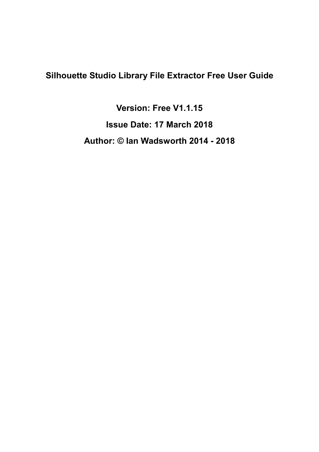### **Silhouette Studio Library File Extractor Free User Guide**

**Version: Free V1.1.15 Issue Date: 17 March 2018 Author: © Ian Wadsworth 2014 - 2018**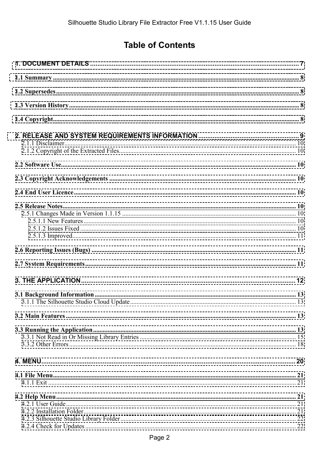### **Table of Contents**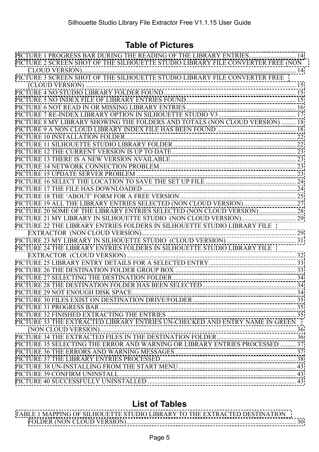### **Table of Pictures**

| PICTURE 1 PROGRESS BAR DURING THE READING OF THE LIBRARY ENTRIES 14             |     |
|---------------------------------------------------------------------------------|-----|
| PICTURE 2 SCREEN SHOT OF THE SILHOUETTE STUDIO LIBRARY FILE CONVERTER FREE (NON |     |
|                                                                                 | .14 |
|                                                                                 |     |
|                                                                                 |     |
|                                                                                 |     |
|                                                                                 |     |
|                                                                                 |     |
|                                                                                 |     |
| PICTURE 8 MY LIBRARY SHOWING THE FOLDERS AND TOTALS (NON CLOUD VERSION)  18     |     |
|                                                                                 |     |
|                                                                                 |     |
|                                                                                 |     |
|                                                                                 |     |
|                                                                                 |     |
|                                                                                 |     |
|                                                                                 |     |
|                                                                                 |     |
|                                                                                 |     |
|                                                                                 |     |
| PICTURE 19 ALL THE LIBRARY ENTRIES SELECTED (NON CLOUD VERSION)  27             |     |
| PICTURE 20 SOME OF THE LIBRARY ENTRIES SELECTED (NON CLOUD VERSION) 28          |     |
|                                                                                 | 29  |
| PICTURE 22 THE LIBRARY ENTRIES FOLDERS IN SILHOUETTE STUDIO LIBRARY FILE        |     |
|                                                                                 |     |
|                                                                                 |     |
| PICTURE 24 THE LIBRARY ENTRIES FOLDERS IN SILHOUETTE STUDIO LIBRARY FILE        |     |
|                                                                                 |     |
|                                                                                 |     |
|                                                                                 |     |
|                                                                                 |     |
|                                                                                 |     |
|                                                                                 |     |
|                                                                                 |     |
|                                                                                 |     |
|                                                                                 |     |
| PICTURE 33 THE EXTRACTED LIBRARY ENTRIES UN-CHECKED AND ENTRY NAME IN GREEN     |     |
|                                                                                 |     |
|                                                                                 |     |
| PICTURE 35 SELECTING THE ERROR AND WARNING OR LIBRARY ENTRIES PROCESSED  37     |     |
|                                                                                 |     |
|                                                                                 |     |
|                                                                                 |     |
|                                                                                 |     |
|                                                                                 |     |

### **List of Tables**

| TABLE 1 MAPPING OF SILHOUETTE STUDIO LIBRARY TO THE EXTRACTED DESTINATION |  |
|---------------------------------------------------------------------------|--|
| FOLDER (NON CLOUD VERSION).                                               |  |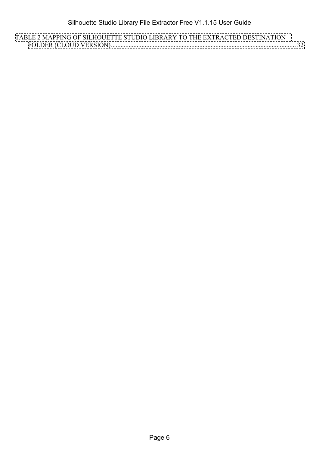| TABLE 2 MAPPING OF SILHOUETTE STUDIO LIBRARY TO THE EXTRACTED DESTINATION |  |
|---------------------------------------------------------------------------|--|
|                                                                           |  |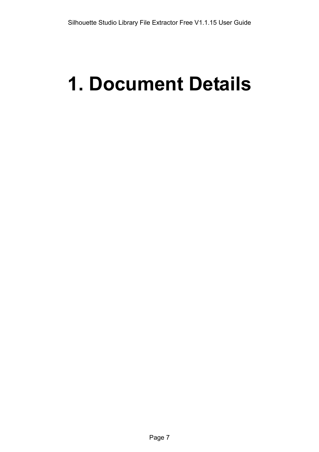# <span id="page-6-0"></span>**1. Document Details**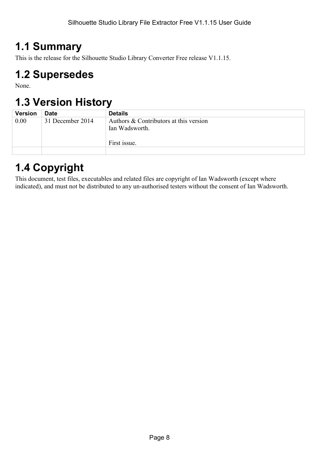# <span id="page-7-0"></span>**1.1 Summary**

This is the release for the Silhouette Studio Library Converter Free release V1.1.15.

# **1.2 Supersedes**

None.

# **1.3 Version History**

| <b>Version</b> | <b>Date</b>      | <b>Details</b>                                                           |
|----------------|------------------|--------------------------------------------------------------------------|
| 0.00           | 31 December 2014 | Authors & Contributors at this version<br>Ian Wadsworth.<br>First issue. |
|                |                  |                                                                          |

# **1.4 Copyright**

This document, test files, executables and related files are copyright of Ian Wadsworth (except where indicated), and must not be distributed to any un-authorised testers without the consent of Ian Wadsworth.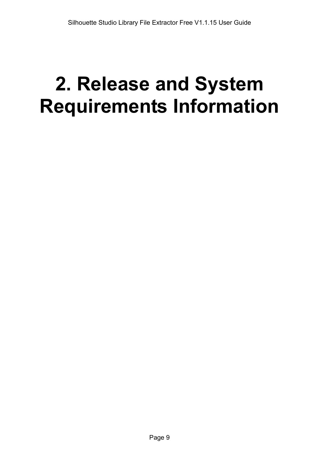# <span id="page-8-0"></span>**2. Release and System Requirements Information**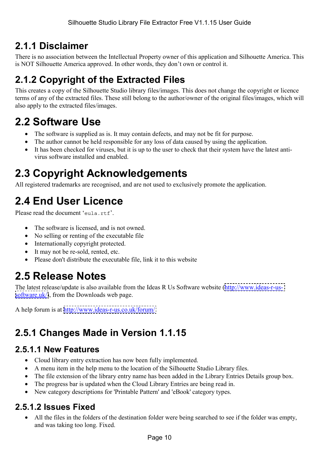### <span id="page-9-0"></span>**2.1.1 Disclaimer**

There is no association between the Intellectual Property owner of this application and Silhouette America. This is NOT Silhouette America approved. In other words, they don't own or control it.

# **2.1.2 Copyright of the Extracted Files**

This creates a copy of the Silhouette Studio library files/images. This does not change the copyright or licence terms of any of the extracted files. These still belong to the author/owner of the original files/images, which will also apply to the extracted files/images.

# **2.2 Software Use**

- The software is supplied as is. It may contain defects, and may not be fit for purpose.
- The author cannot be held responsible for any loss of data caused by using the application.
- It has been checked for viruses, but it is up to the user to check that their system have the latest antivirus software installed and enabled.

# **2.3 Copyright Acknowledgements**

All registered trademarks are recognised, and are not used to exclusively promote the application.

# **2.4 End User Licence**

Please read the document ' $\epsilon_{\text{m1a}}$ .rtf'.

- The software is licensed, and is not owned.
- No selling or renting of the executable file
- Internationally copyright protected.
- It may not be re-sold, rented, etc.
- Please don't distribute the executable file, link it to this website

# **2.5 Release Notes**

The latest release/update is also available from the Ideas R Us Software website [\(http://www.ideas-r-us](http://www.ideas-r-us-software.uk/)[software.uk/\)](http://www.ideas-r-us-software.uk/), from the Downloads web page.

A help forum is at <http://www.ideas-r-us.co.uk/forum/>

# **2.5.1 Changes Made in Version 1.1.15**

#### **2.5.1.1 New Features**

- Cloud library entry extraction has now been fully implemented.
- A menu item in the help menu to the location of the Silhouette Studio Library files.
- The file extension of the library entry name has been added in the Library Entries Details group box.
- The progress bar is updated when the Cloud Library Entries are being read in.
- New category descriptions for 'Printable Pattern' and 'eBook' category types.

### **2.5.1.2 Issues Fixed**

• All the files in the folders of the destination folder were being searched to see if the folder was empty, and was taking too long. Fixed.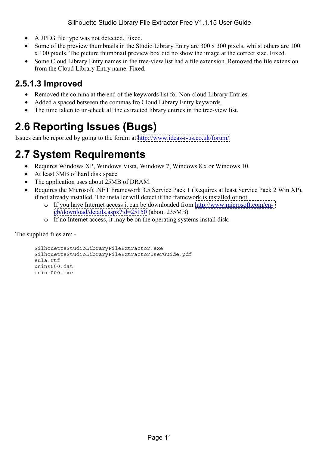- <span id="page-10-0"></span>• A JPEG file type was not detected. Fixed.
- Some of the preview thumbnails in the Studio Library Entry are 300 x 300 pixels, whilst others are 100 x 100 pixels. The picture thumbnail preview box did no show the image at the correct size. Fixed.
- Some Cloud Library Entry names in the tree-view list had a file extension. Removed the file extension from the Cloud Library Entry name. Fixed.

#### **2.5.1.3 Improved**

- Removed the comma at the end of the keywords list for Non-cloud Library Entries.
- Added a spaced between the commas fro Cloud Library Entry keywords.
- The time taken to un-check all the extracted library entries in the tree-view list.

# **2.6 Reporting Issues (Bugs)**

Issues can be reported by going to the forum at [http://www.ideas-r-us.co.uk/forum/.](http://www.ideas-r-us.co.uk/forum/)

# **2.7 System Requirements**

- Requires Windows XP, Windows Vista, Windows 7, Windows 8.x or Windows 10.
- At least 3MB of hard disk space
- The application uses about 25MB of DRAM.
- Requires the Microsoft .NET Framework 3.5 Service Pack 1 (Requires at least Service Pack 2 Win XP), if not already installed. The installer will detect if the framework is installed or not.
	- o If you have Internet access it can be downloaded from [http://www.microsoft.com/en](http://www.microsoft.com/en-gb/download/details.aspx?id=25150)[gb/download/details.aspx?id=25150](http://www.microsoft.com/en-gb/download/details.aspx?id=25150) (about 235MB)
	- o If no Internet access, it may be on the operating systems install disk.

The supplied files are: -

```
SilhouetteStudioLibraryFileExtractor.exe 
SilhouetteStudioLibraryFileExtractorUserGuide.pdf 
eula.rtf 
unins000.dat 
unins000.exe
```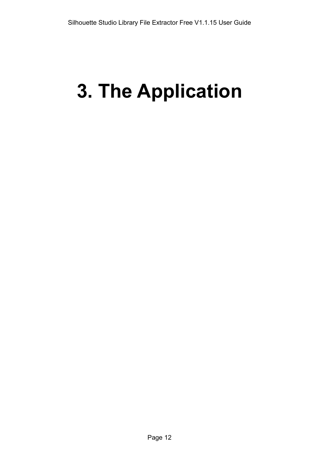# <span id="page-11-0"></span>**3. The Application**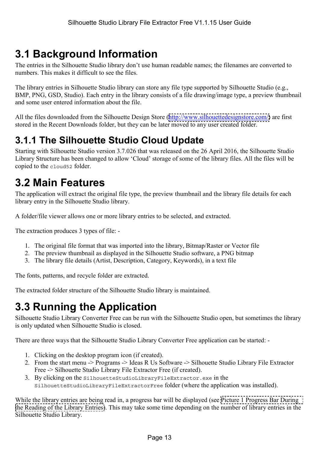# <span id="page-12-0"></span>**3.1 Background Information**

The entries in the Silhouette Studio library don't use human readable names; the filenames are converted to numbers. This makes it difficult to see the files.

The library entries in Silhouette Studio library can store any file type supported by Silhouette Studio (e.g., BMP, PNG, GSD, Studio). Each entry in the library consists of a file drawing/image type, a preview thumbnail and some user entered information about the file.

All the files downloaded from the Silhouette Design Store ([http://www.silhouettedesignstore.com/\)](http://www.silhouettedesignstore.com/) are first stored in the Recent Downloads folder, but they can be later moved to any user created folder.

### **3.1.1 The Silhouette Studio Cloud Update**

Starting with Silhouette Studio version 3.7.026 that was released on the 26 April 2016, the Silhouette Studio Library Structure has been changed to allow 'Cloud' storage of some of the library files. All the files will be copied to the cloud52 folder.

# **3.2 Main Features**

The application will extract the original file type, the preview thumbnail and the library file details for each library entry in the Silhouette Studio library.

A folder/file viewer allows one or more library entries to be selected, and extracted.

The extraction produces 3 types of file: -

- 1. The original file format that was imported into the library, Bitmap/Raster or Vector file
- 2. The preview thumbnail as displayed in the Silhouette Studio software, a PNG bitmap
- 3. The library file details (Artist, Description, Category, Keywords), in a text file

The fonts, patterns, and recycle folder are extracted.

The extracted folder structure of the Silhouette Studio library is maintained.

# **3.3 Running the Application**

Silhouette Studio Library Converter Free can be run with the Silhouette Studio open, but sometimes the library is only updated when Silhouette Studio is closed.

There are three ways that the Silhouette Studio Library Converter Free application can be started: -

- 1. Clicking on the desktop program icon (if created).
- 2. From the start menu -> Programs -> Ideas R Us Software -> Silhouette Studio Library File Extractor Free -> Silhouette Studio Library File Extractor Free (if created).
- 3. By clicking on the SilhouetteStudioLibraryFileExtractor.exe in the SilhouetteStudioLibraryFileExtractorFree folder (where the application was installed).

While the library entries are being read in, a progress bar will be displayed (see [Picture 1 Progress Bar During](#page-13-0)  [the Reading of the Library Entries\)](#page-13-0). This may take some time depending on the number of library entries in the Silhouette Studio Library.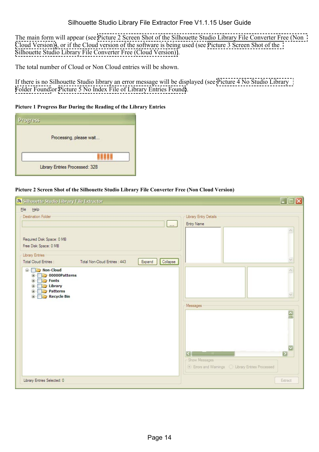<span id="page-13-0"></span>The main form will appear (see Picture 2 Screen Shot of the Silhouette Studio Library File Converter Free (Non Cloud Version)), or if the Cloud version of the software is being used (see Picture 3 Screen Shot of the Silhouette Studio Library File Converter Free (Cloud Version)).

The total number of Cloud or Non Cloud entries will be shown.

If there is no Silhouette Studio library an error message will be displayed (see [Picture 4 No Studio Library](#page-14-0)  [Folder Found](#page-14-0) or [Picture 5 No Index File of Library Entries Found\)](#page-14-0).

#### **Picture 1 Progress Bar During the Reading of the Library Entries**

| Progress |                                |
|----------|--------------------------------|
|          | Processing, please wait        |
|          |                                |
|          | Library Entries Processed: 328 |

#### **Picture 2 Screen Shot of the Silhouette Studio Library File Converter Free (Non Cloud Version)**

| <b>8 Silhouette Studio Library File Extractor</b>    |                               |                    |                                                        | $\Box$ $\Box$ $\times$   |
|------------------------------------------------------|-------------------------------|--------------------|--------------------------------------------------------|--------------------------|
| Help<br>File                                         |                               |                    |                                                        |                          |
| Destination Folder                                   |                               |                    | Library Entry Details                                  |                          |
|                                                      |                               | $\cdots$           | Entry Name                                             |                          |
|                                                      |                               |                    |                                                        |                          |
| Required Disk Space: 0 MB                            |                               |                    |                                                        |                          |
| Free Disk Space: 0 MB                                |                               |                    |                                                        |                          |
| <b>Library Entries</b>                               |                               |                    |                                                        |                          |
| <b>Total Cloud Entries:</b>                          | Total Non-Cloud Entries : 443 | Collapse<br>Expand |                                                        |                          |
| Non-Cloud<br>ė-1<br>00000Patterns<br>田               |                               |                    |                                                        |                          |
| Fonts<br>$\overline{E}$                              |                               |                    |                                                        |                          |
| Library<br>$\oplus$<br><b>Patterns</b><br>$\boxplus$ |                               |                    |                                                        |                          |
| <b>Recycle Bin</b><br>田                              |                               |                    |                                                        |                          |
|                                                      |                               |                    | Messages                                               |                          |
|                                                      |                               |                    |                                                        | $\overline{\phantom{a}}$ |
|                                                      |                               |                    |                                                        |                          |
|                                                      |                               |                    |                                                        |                          |
|                                                      |                               |                    |                                                        |                          |
|                                                      |                               |                    |                                                        |                          |
|                                                      |                               |                    | $ \langle \cdot  $<br>100                              | $\mathbf{E}$             |
|                                                      |                               |                    | Show Messages                                          |                          |
|                                                      |                               |                    | <b>Errors and Warnings</b> C Library Entries Processed |                          |
|                                                      |                               |                    |                                                        |                          |
| Library Entries Selected: 0                          |                               |                    |                                                        | Extract                  |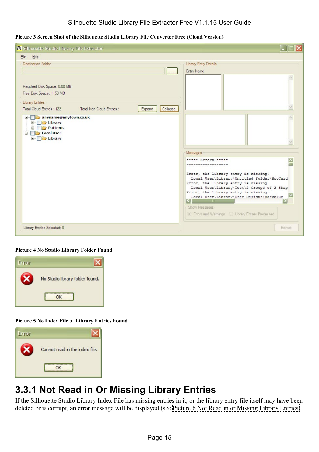<span id="page-14-0"></span>**Picture 3 Screen Shot of the Silhouette Studio Library File Converter Free (Cloud Version)** 

| <b>M</b> Silhouette Studio Library File Extractor                                                                                                                                                                                                                                                                                                                                 | $\square$ $\times$                                                                                                                                                                                                                                                                |
|-----------------------------------------------------------------------------------------------------------------------------------------------------------------------------------------------------------------------------------------------------------------------------------------------------------------------------------------------------------------------------------|-----------------------------------------------------------------------------------------------------------------------------------------------------------------------------------------------------------------------------------------------------------------------------------|
| Help<br>File                                                                                                                                                                                                                                                                                                                                                                      |                                                                                                                                                                                                                                                                                   |
| <b>Destination Folder</b><br>Library Entry Details<br>Entry Name<br>$\dddotsc$<br>Required Disk Space: 0.00 MB<br>Free Disk Space: 1153 MB<br><b>Library Entries</b><br>Collapse<br>Total Cloud Entries: 122<br>Total Non-Cloud Entries :<br>Expand<br>anyname@anytown.co.uk<br>8-<br>E Library<br>Patterns<br>Œ.<br><b>E</b> Local User<br>E Library<br>Messages<br>***** Errors | Error, the library entry is missing.                                                                                                                                                                                                                                              |
| ___<br>Show Messages                                                                                                                                                                                                                                                                                                                                                              | Local User\Library\Untitled Folder\BooCard<br>Error, the library entry is missing.<br>Local User\Library\Test\2 Groups of 2 Shap<br>Error, the library entry is missing.<br>Local User\Librarv\User Designs\backblue<br>- 1111<br>Errors and Warnings   Library Entries Processed |
| Library Entries Selected: 0                                                                                                                                                                                                                                                                                                                                                       | Extract                                                                                                                                                                                                                                                                           |

#### **Picture 4 No Studio Library Folder Found**



**Picture 5 No Index File of Library Entries Found** 



### **3.3.1 Not Read in Or Missing Library Entries**

If the Silhouette Studio Library Index File has missing entries in it, or the library entry file itself may have been deleted or is corrupt, an error message will be displayed (see [Picture 6 Not Read in or Missing Library Entries\)](#page-15-0).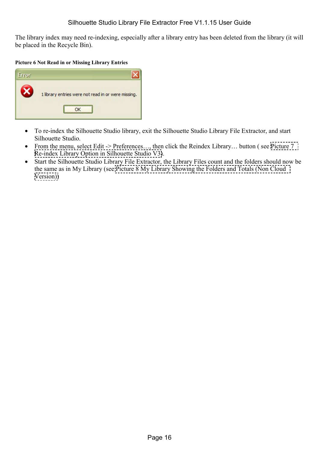<span id="page-15-0"></span>The library index may need re-indexing, especially after a library entry has been deleted from the library (it will be placed in the Recycle Bin).

#### **Picture 6 Not Read in or Missing Library Entries**



- To re-index the Silhouette Studio library, exit the Silhouette Studio Library File Extractor, and start Silhouette Studio.
- From the menu, select Edit -> Preferences..., then click the Reindex Library... button (see Picture 7 [Re-index Library Option in Silhouette Studio V3\)](#page-16-0).
- Start the Silhouette Studio Library File Extractor, the Library Files count and the folders should now be the same as in My Library (see [Picture 8 My Library Showing the Folders and Totals \(Non Cloud](#page-17-0)  [Version\)\)](#page-17-0)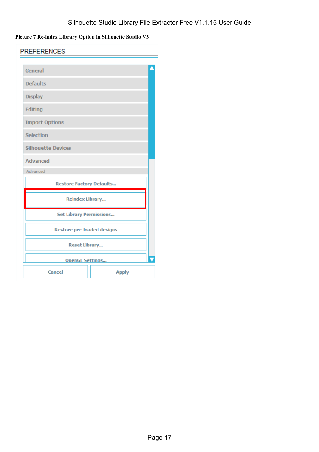<span id="page-16-0"></span>**Picture 7 Re-index Library Option in Silhouette Studio V3** 

| <b>PREFERENCES</b>                |              |  |
|-----------------------------------|--------------|--|
|                                   |              |  |
| General                           |              |  |
| <b>Defaults</b>                   |              |  |
| <b>Display</b>                    |              |  |
| <b>Editing</b>                    |              |  |
| <b>Import Options</b>             |              |  |
| <b>Selection</b>                  |              |  |
| <b>Silhouette Devices</b>         |              |  |
| <b>Advanced</b>                   |              |  |
| Advanced                          |              |  |
| <b>Restore Factory Defaults</b>   |              |  |
| Reindex Library                   |              |  |
| <b>Set Library Permissions</b>    |              |  |
| <b>Restore pre-loaded designs</b> |              |  |
| <b>Reset Library</b>              |              |  |
| <b>OpenGL Settings</b>            |              |  |
| Cancel                            | <b>Apply</b> |  |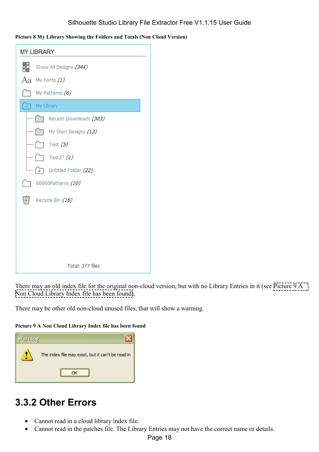<span id="page-17-0"></span>**Picture 8 My Library Showing the Folders and Totals (Non Cloud Version)** 

| <b>MY LIBRARY</b>                 |  |  |  |
|-----------------------------------|--|--|--|
| 朤<br>Show All Designs (344)       |  |  |  |
| Aa My Fonts (1)                   |  |  |  |
| My Patterns (6)<br>$\sim$ $\sim$  |  |  |  |
| My Library                        |  |  |  |
| Recent Downloads (303)            |  |  |  |
| My Own Designs (13)               |  |  |  |
| Test $(5)$                        |  |  |  |
| Test <sub>2?</sub> $(1)$          |  |  |  |
| Untitled Folder (22)<br>$\ddot{}$ |  |  |  |
| 00000Patterns (10)                |  |  |  |
| Recycle Bin (16)<br>ŧ             |  |  |  |
|                                   |  |  |  |
|                                   |  |  |  |
|                                   |  |  |  |
|                                   |  |  |  |
| Total: 377 files                  |  |  |  |

There may an old index file for the original non-cloud version, but with no Library Entries in it (see Picture 9 A Non Cloud Library Index file has been found).

There may be other old non-cloud unused files, that will show a warning.

**Picture 9 A Non Cloud Library Index file has been found** 

| <b>Warning</b> |                                                   |
|----------------|---------------------------------------------------|
|                | The index file may exist, but it can't be read in |
|                |                                                   |

### **3.3.2 Other Errors**

- Cannot read in a cloud library index file.
- Cannot read in the patches file. The Library Entries may not have the correct name or details.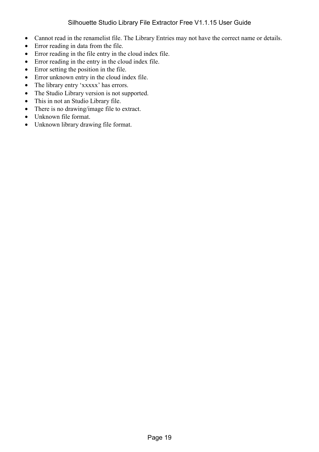- Cannot read in the renamelist file. The Library Entries may not have the correct name or details.
- Error reading in data from the file.
- Error reading in the file entry in the cloud index file.
- Error reading in the entry in the cloud index file.
- Error setting the position in the file.
- Error unknown entry in the cloud index file.
- The library entry 'xxxxx' has errors.
- The Studio Library version is not supported.
- This in not an Studio Library file.
- There is no drawing/image file to extract.
- Unknown file format.
- Unknown library drawing file format.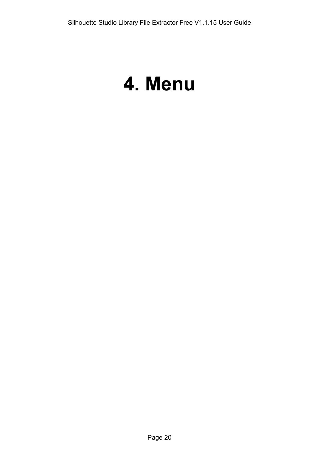# <span id="page-19-0"></span>**4. Menu**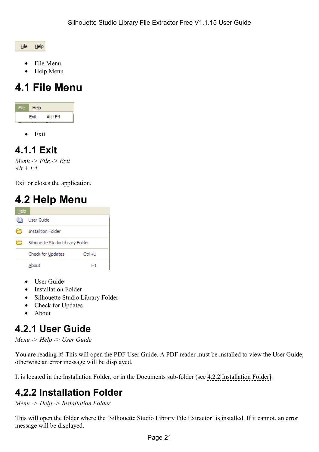<span id="page-20-0"></span>

- File Menu
- Help Menu

# **4.1 File Menu**



• Exit

### **4.1.1 Exit**

*Menu -> File -> Exit Alt + F4* 

Exit or closes the application.

# **4.2 Help Menu**

| Help |                                  |            |
|------|----------------------------------|------------|
| ľO   | User Guide                       |            |
|      | <b>Installtion Folder</b>        |            |
|      | Silhouette Studio Library Folder |            |
|      | Check for Updates                | $Ctrl + U$ |
|      | About                            | F1         |

- User Guide
- Installation Folder
- Silhouette Studio Library Folder
- Check for Updates
- About

### **4.2.1 User Guide**

*Menu -> Help -> User Guide* 

You are reading it! This will open the PDF User Guide. A PDF reader must be installed to view the User Guide; otherwise an error message will be displayed.

It is located in the Installation Folder, or in the Documents sub-folder (see 4.2.2 Installation Folder).

# **4.2.2 Installation Folder**

*Menu -> Help -> Installation Folder* 

This will open the folder where the 'Silhouette Studio Library File Extractor' is installed. If it cannot, an error message will be displayed.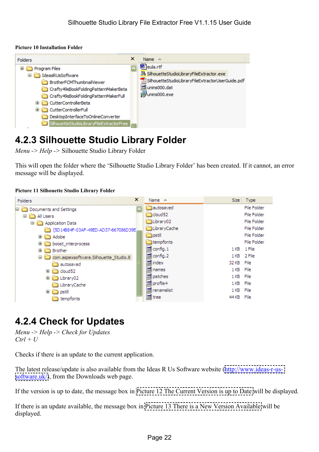<span id="page-21-0"></span>**Picture 10 Installation Folder** 



# **4.2.3 Silhouette Studio Library Folder**

*Menu -> Help ->* Silhouette Studio Library Folder

This will open the folder where the 'Silhouette Studio Library Folder' has been created. If it cannot, an error message will be displayed.

#### **Picture 11 Silhouette Studio Library Folder**



### **4.2.4 Check for Updates**

*Menu -> Help -> Check for Updates Ctrl + U* 

Checks if there is an update to the current application.

The latest release/update is also available from the Ideas R Us Software website [\(http://www.ideas-r-us](http://www.ideas-r-us-software.uk/)[software.uk/\)](http://www.ideas-r-us-software.uk/), from the Downloads web page.

If the version is up to date, the message box in [Picture 12 The Current Version is up to Date](#page-22-0) will be displayed.

If there is an update available, the message box in [Picture 13 There is a New Version Available](#page-22-0) will be displayed.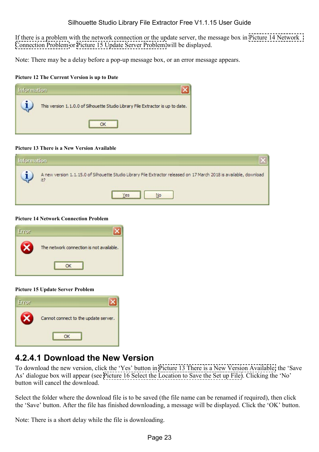<span id="page-22-0"></span>If there is a problem with the network connection or the update server, the message box in Picture 14 Network Connection Problem or Picture 15 Update Server Problem will be displayed.

Note: There may be a delay before a pop-up message box, or an error message appears.

#### **Picture 12 The Current Version is up to Date**



#### **Picture 13 There is a New Version Available**

| <b>Information</b> |                                                                                                                               |
|--------------------|-------------------------------------------------------------------------------------------------------------------------------|
|                    | A new version 1.1.15.0 of Silhouette Studio Library File Extractor released on 17 March 2018 is available, download<br>$it$ ? |
|                    | No<br>res                                                                                                                     |

#### **Picture 14 Network Connection Problem**



#### **Picture 15 Update Server Problem**

| Error |                                      |
|-------|--------------------------------------|
|       | Cannot connect to the update server. |
|       |                                      |

#### **4.2.4.1 Download the New Version**

To download the new version, click the 'Yes' button in Picture 13 There is a New Version Available, the 'Save As' dialogue box will appear (see [Picture 16 Select the Location to Save the Set up File\)](#page-23-0). Clicking the 'No' button will cancel the download.

Select the folder where the download file is to be saved (the file name can be renamed if required), then click the 'Save' button. After the file has finished downloading, a message will be displayed. Click the 'OK' button.

Note: There is a short delay while the file is downloading.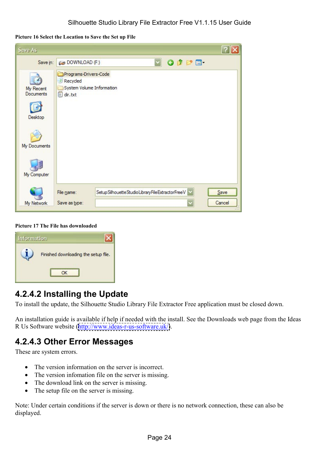<span id="page-23-0"></span>**Picture 16 Select the Location to Save the Set up File** 

| Save As                                  |                                                                                       |                |
|------------------------------------------|---------------------------------------------------------------------------------------|----------------|
| Save in:                                 | $\overline{\mathbf{v}}$<br>ODPE-<br>DOWNLOAD (F:)                                     |                |
| My Recent<br><b>Documents</b><br>Desktop | Programs-Drivers-Code<br>Recycled<br>System Volume Information<br>$\mathbf{d}$ ir.txt |                |
| My Documents                             |                                                                                       |                |
| My Computer                              |                                                                                       |                |
| My Network                               | Setup Silhouette Studio Library File Extractor Free V<br>File name:<br>Save as type:  | Save<br>Cancel |

**Picture 17 The File has downloaded** 

| <b>Information</b> |                                      |
|--------------------|--------------------------------------|
|                    | Finished downloading the setup file. |
|                    |                                      |

#### **4.2.4.2 Installing the Update**

To install the update, the Silhouette Studio Library File Extractor Free application must be closed down.

An installation guide is available if help if needed with the install. See the Downloads web page from the Ideas R Us Software website ([http://www.ideas-r-us-software.uk/\)](http://www.ideas-r-us-software.uk/).

#### **4.2.4.3 Other Error Messages**

These are system errors.

- The version information on the server is incorrect.
- The version infomation file on the server is missing.
- The download link on the server is missing.
- The setup file on the server is missing.

Note: Under certain conditions if the server is down or there is no network connection, these can also be displayed.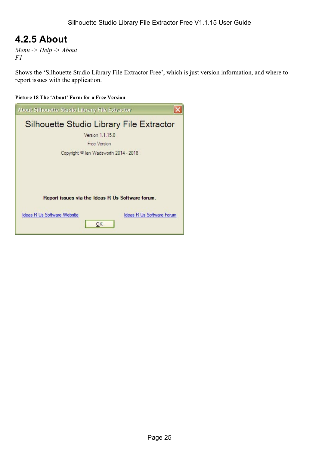### <span id="page-24-0"></span>**4.2.5 About**

*Menu -> Help -> About F1* 

Shows the 'Silhouette Studio Library File Extractor Free', which is just version information, and where to report issues with the application.

#### **Picture 18 The 'About' Form for a Free Version**

| About Silhouette Studio Library File Extractor   |                                  |
|--------------------------------------------------|----------------------------------|
| Silhouette Studio Library File Extractor         |                                  |
| Version 1.1.15.0                                 |                                  |
| Free Version                                     |                                  |
| Copyright <sup>@</sup> lan Wadsworth 2014 - 2018 |                                  |
|                                                  |                                  |
|                                                  |                                  |
| Report issues via the Ideas R Us Software forum. |                                  |
| <b>Ideas R Us Software Website</b>               | <b>Ideas R Us Software Forum</b> |
| OK                                               |                                  |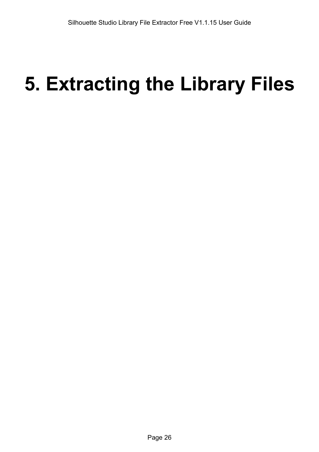# <span id="page-25-0"></span>**5. Extracting the Library Files**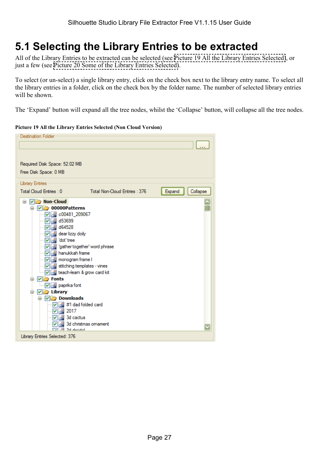# <span id="page-26-0"></span>**5.1 Selecting the Library Entries to be extracted**

All of the Library Entries to be extracted can be selected (see Picture 19 All the Library Entries Selected), or just a few (see Picture 20 Some of the Library Entries Selected).

To select (or un-select) a single library entry, click on the check box next to the library entry name. To select all the library entries in a folder, click on the check box by the folder name. The number of selected library entries will be shown.

The 'Expand' button will expand all the tree nodes, whilst the 'Collapse' button, will collapse all the tree nodes.

| <b>Destination Folder</b>     |                              |                    |
|-------------------------------|------------------------------|--------------------|
|                               |                              |                    |
|                               |                              |                    |
|                               |                              |                    |
| Required Disk Space: 52.02 MB |                              |                    |
| Free Disk Space: 0 MB         |                              |                    |
| <b>Library Entries</b>        |                              |                    |
| Total Cloud Entries: 0        | Total Non-Cloud Entries: 376 | Collapse<br>Expand |
| Mon-Cloud<br>⊟<br>M           |                              |                    |
| 00000Patterns<br>⊟…<br>M      |                              |                    |
| C00481_209067                 |                              |                    |
| & d53699<br>v                 |                              |                    |
| & d64528<br>v                 |                              |                    |
| dear lizzy doily              |                              |                    |
| <sup>8</sup> dot' tree        |                              |                    |
|                               | gather together' word phrase |                    |
| hanukkah frame<br>v           |                              |                    |
| & monogram frame I            | stitching templates - vines  |                    |
| v                             | & teach-leam & grow card kit |                    |
| <b>Fonts</b><br>◡<br>⊨        |                              |                    |
| paprika font                  |                              |                    |
| <b>External Library</b><br>vı |                              |                    |
| <b>Downloads</b><br>8 V G     |                              |                    |
|                               | #1 dad folded card           |                    |
| 2017                          |                              |                    |
| & 3d cactus                   |                              |                    |
|                               | 3d christmas omament         |                    |
| <b>Call 24 desidel</b>        |                              |                    |
| Library Entries Selected: 376 |                              |                    |

#### **Picture 19 All the Library Entries Selected (Non Cloud Version)**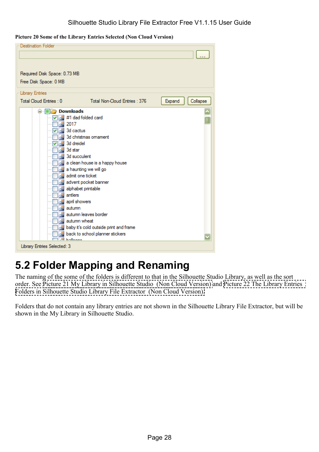<span id="page-27-0"></span>**Picture 20 Some of the Library Entries Selected (Non Cloud Version)** 

| <b>Destination Folder</b>    |                                        |                    |
|------------------------------|----------------------------------------|--------------------|
|                              |                                        |                    |
|                              |                                        |                    |
| Required Disk Space: 0.73 MB |                                        |                    |
| Free Disk Space: 0 MB        |                                        |                    |
|                              |                                        |                    |
| <b>Library Entries</b>       |                                        |                    |
| Total Cloud Entries: 0       | Total Non-Cloud Entries: 376           | Collapse<br>Expand |
| <b>Downloads</b><br>8-I I    |                                        |                    |
|                              | #1 dad folded card                     |                    |
| 2017                         |                                        |                    |
|                              | 3d cactus                              |                    |
|                              | 3d christmas omament                   |                    |
|                              | 3d dreidel                             |                    |
| 3d star                      | 3d succulent                           |                    |
|                              | a clean house is a happy house         |                    |
|                              | a haunting we will go                  |                    |
|                              | admit one ticket                       |                    |
|                              | advent pocket banner                   |                    |
|                              | alphabet printable                     |                    |
| antlers                      |                                        |                    |
|                              | april showers                          |                    |
| autumn                       |                                        |                    |
|                              | autumn leaves border                   |                    |
|                              | autumn wheat                           |                    |
|                              | baby it's cold outside print and frame |                    |
|                              | back to school planner stickers        |                    |
| <b>Dela Angliano</b>         |                                        |                    |
| Library Entries Selected: 3  |                                        |                    |

# **5.2 Folder Mapping and Renaming**

The naming of the some of the folders is different to that in the Silhouette Studio Library, as well as the sort order. See [Picture 21 My Library in Silhouette Studio \(Non Cloud Version\)](#page-28-0) and [Picture 22 The Library Entries](#page-28-0)  [Folders in Silhouette Studio Library File Extractor \(Non Cloud Version\).](#page-28-0)

Folders that do not contain any library entries are not shown in the Silhouette Library File Extractor, but will be shown in the My Library in Silhouette Studio.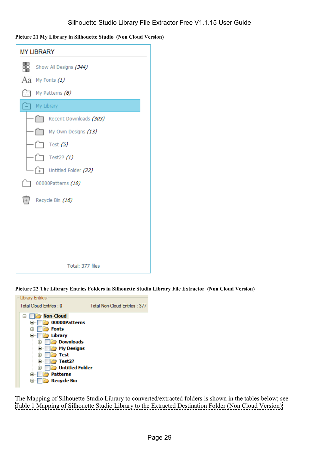<span id="page-28-0"></span>**Picture 21 My Library in Silhouette Studio (Non Cloud Version)** 



**Picture 22 The Library Entries Folders in Silhouette Studio Library File Extractor (Non Cloud Version)** 



The Mapping of Silhouette Studio Library to converted/extracted folders is shown in the tables below; see [Table 1 Mapping of Silhouette Studio Library to the Extracted Destination Folder \(Non Cloud Version\).](#page-29-0)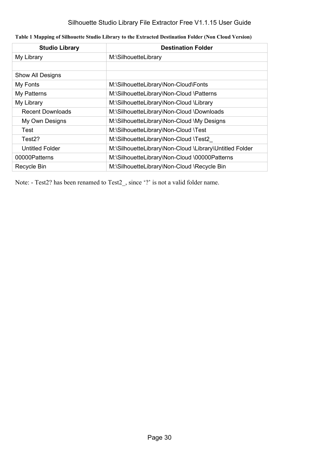#### Silhouette Studio Library File Extractor Free V1.1.15 User Guide

| <b>Studio Library</b>   | <b>Destination Folder</b>                               |
|-------------------------|---------------------------------------------------------|
| My Library              | M:\SilhouetteLibrary                                    |
|                         |                                                         |
| Show All Designs        |                                                         |
| My Fonts                | M:\SilhouetteLibrary\Non-Cloud\Fonts                    |
| My Patterns             | M:\SilhouetteLibrary\Non-Cloud \Patterns                |
| My Library              | M:\SilhouetteLibrary\Non-Cloud \Library                 |
| <b>Recent Downloads</b> | M:\SilhouetteLibrary\Non-Cloud \Downloads               |
| My Own Designs          | M:\SilhouetteLibrary\Non-Cloud \My Designs              |
| Test                    | M:\SilhouetteLibrary\Non-Cloud \Test                    |
| Test <sub>2</sub> ?     | M:\SilhouetteLibrary\Non-Cloud \Test2                   |
| <b>Untitled Folder</b>  | M:\SilhouetteLibrary\Non-Cloud \Library\Untitled Folder |
| 00000Patterns           | M:\SilhouetteLibrary\Non-Cloud \00000Patterns           |
| Recycle Bin             | M:\SilhouetteLibrary\Non-Cloud \Recycle Bin             |

<span id="page-29-0"></span>**Table 1 Mapping of Silhouette Studio Library to the Extracted Destination Folder (Non Cloud Version)** 

Note: - Test2? has been renamed to Test2\_, since '?' is not a valid folder name.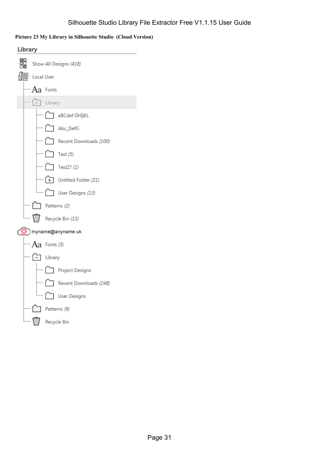#### <span id="page-30-0"></span>**Picture 23 My Library in Silhouette Studio (Cloud Version)**

| <b>Library</b> |                                                 |
|----------------|-------------------------------------------------|
|                | Box Show All Designs (418)                      |
|                | Local User                                      |
|                | $-Aa$ Fonts                                     |
|                | $\boxed{-}$ Library                             |
|                | 门 aBCdef GHIjKL                                 |
|                | 门 Abc_DefG                                      |
|                | Recent Downloads (100)                          |
|                | $\lceil \overline{\phantom{a}} \rceil$ Test (5) |
|                | $\Box$ Test2? (1)                               |
|                | $\boxed{+}$ Untitled Folder (21)                |
|                | $\Box$ User Designs (13)                        |
|                | Patterns (2)                                    |
|                | Recycle Bin (15)                                |
|                | $\odot$ ) myname@anyname.uk                     |
|                | $-Aa$ Fonts (3)                                 |
|                | $[-]$ Library                                   |
|                | <b>Project Designs</b>                          |
|                | Recent Downloads (248)                          |
|                | <b>User Designs</b>                             |
|                | 同<br>Patterns (9)                               |
|                | <b>Recycle Bin</b>                              |
|                |                                                 |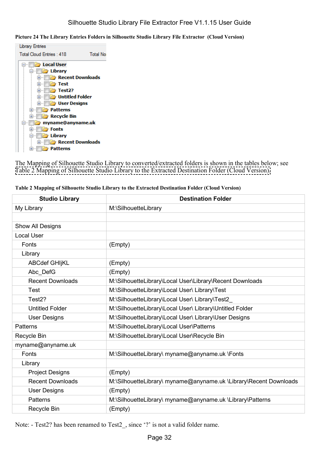<span id="page-31-0"></span>**Picture 24 The Library Entries Folders in Silhouette Studio Library File Extractor (Cloud Version)** 



The Mapping of Silhouette Studio Library to converted/extracted folders is shown in the tables below; see Table 2 Mapping of Silhouette Studio Library to the Extracted Destination Folder (Cloud Version).

| <b>Studio Library</b>   | <b>Destination Folder</b>                                         |  |  |
|-------------------------|-------------------------------------------------------------------|--|--|
| My Library              | M:\SilhouetteLibrary                                              |  |  |
|                         |                                                                   |  |  |
| <b>Show All Designs</b> |                                                                   |  |  |
| <b>Local User</b>       |                                                                   |  |  |
| Fonts                   | (Empty)                                                           |  |  |
| Library                 |                                                                   |  |  |
| <b>ABCdef GHIJKL</b>    | (Empty)                                                           |  |  |
| Abc DefG                | (Empty)                                                           |  |  |
| <b>Recent Downloads</b> | M:\SilhouetteLibrary\Local User\Library\Recent Downloads          |  |  |
| <b>Test</b>             | M:\SilhouetteLibrary\Local User\ Library\Test                     |  |  |
| Test <sub>2?</sub>      | M:\SilhouetteLibrary\Local User\ Library\Test2_                   |  |  |
| <b>Untitled Folder</b>  | M:\SilhouetteLibrary\Local User\ Library\Untitled Folder          |  |  |
| <b>User Designs</b>     | M:\SilhouetteLibrary\Local User\ Library\User Designs             |  |  |
| <b>Patterns</b>         | M:\SilhouetteLibrary\Local User\Patterns                          |  |  |
| Recycle Bin             | M:\SilhouetteLibrary\Local User\Recycle Bin                       |  |  |
| myname@anyname.uk       |                                                                   |  |  |
| Fonts                   | M:\SilhouetteLibrary\ myname@anyname.uk \Fonts                    |  |  |
| Library                 |                                                                   |  |  |
| <b>Project Designs</b>  | (Empty)                                                           |  |  |
| <b>Recent Downloads</b> | M:\SilhouetteLibrary\ myname@anyname.uk \Library\Recent Downloads |  |  |
| <b>User Designs</b>     | (Empty)                                                           |  |  |
| <b>Patterns</b>         | M:\SilhouetteLibrary\ myname@anyname.uk \Library\Patterns         |  |  |
| Recycle Bin             | (Empty)                                                           |  |  |

**Table 2 Mapping of Silhouette Studio Library to the Extracted Destination Folder (Cloud Version)** 

Note: - Test2? has been renamed to Test2\_, since '?' is not a valid folder name.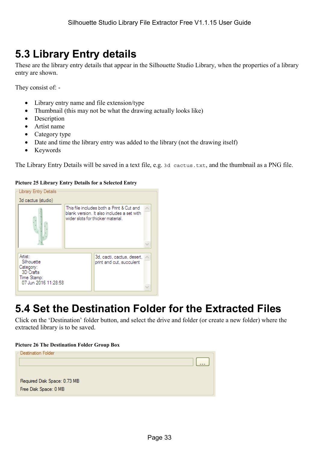# <span id="page-32-0"></span>**5.3 Library Entry details**

These are the library entry details that appear in the Silhouette Studio Library, when the properties of a library entry are shown.

They consist of: -

- Library entry name and file extension/type
- Thumbnail (this may not be what the drawing actually looks like)
- Description
- Artist name
- Category type
- Date and time the library entry was added to the library (not the drawing itself)
- Keywords

The Library Entry Details will be saved in a text file, e.g. 3d cactus.txt, and the thumbnail as a PNG file.

#### **Picture 25 Library Entry Details for a Selected Entry**



# **5.4 Set the Destination Folder for the Extracted Files**

Click on the 'Destination' folder button, and select the drive and folder (or create a new folder) where the extracted library is to be saved.

**Picture 26 The Destination Folder Group Box** 

| Destination Folder                                    |  |
|-------------------------------------------------------|--|
| Required Disk Space: 0.73 MB<br>Free Disk Space: 0 MB |  |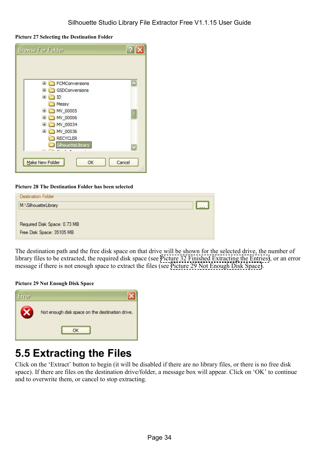<span id="page-33-0"></span>**Picture 27 Selecting the Destination Folder** 

| <b>Browse For Folder</b>           | $\overline{?}$ |
|------------------------------------|----------------|
|                                    |                |
| FCMConversions<br>⊞                |                |
| GSDConversions<br>Œ<br>⊞<br>ID     |                |
| Messy<br>MV_00005<br>⊞             |                |
| MV_00006<br>$\pm$<br>MV_00034<br>田 |                |
| MV_00036<br>⊞<br><b>RECYCLER</b>   |                |
| SilhouetteLibrary                  |                |
| Make New Folder<br>OK              | Cancel         |

#### **Picture 28 The Destination Folder has been selected**

The destination path and the free disk space on that drive will be shown for the selected drive, the number of library files to be extracted, the required disk space (see [Picture 32 Finished Extracting the Entries\)](#page-34-0), or an error message if there is not enough space to extract the files (see Picture 29 Not Enough Disk Space).

#### **Picture 29 Not Enough Disk Space**



### **5.5 Extracting the Files**

Click on the 'Extract' button to begin (it will be disabled if there are no library files, or there is no free disk space). If there are files on the destination drive/folder, a message box will appear. Click on 'OK' to continue and to overwrite them, or cancel to stop extracting.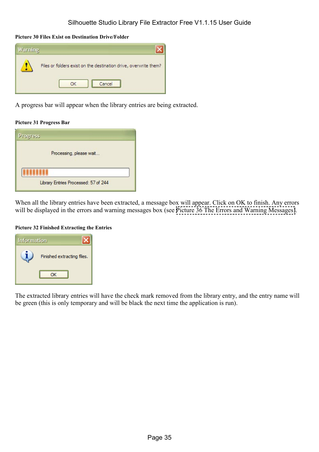#### <span id="page-34-0"></span>**Picture 30 Files Exist on Destination Drive/Folder**



A progress bar will appear when the library entries are being extracted.

#### **Picture 31 Progress Bar**

| Progress                             |  |
|--------------------------------------|--|
| Processing, please wait              |  |
|                                      |  |
| Library Entries Processed: 57 of 244 |  |

When all the library entries have been extracted, a message box will appear. Click on OK to finish. Any errors will be displayed in the errors and warning messages box (see [Picture 36 The Errors and Warning Messages\)](#page-36-0).

#### **Picture 32 Finished Extracting the Entries**

| <b>Information</b> |                            |
|--------------------|----------------------------|
|                    | Finished extracting files. |
|                    |                            |

The extracted library entries will have the check mark removed from the library entry, and the entry name will be green (this is only temporary and will be black the next time the application is run).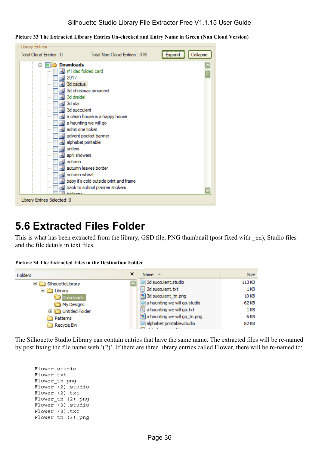<span id="page-35-0"></span>**Picture 33 The Extracted Library Entries Un-checked and Entry Name in Green (Non Cloud Version)** 

| Library Entries<br>Total Cloud Entries: 0 | Total Non-Cloud Entries: 376           | Collapse<br>Expand |
|-------------------------------------------|----------------------------------------|--------------------|
| <b>Downloads</b><br> ⊟…                   |                                        |                    |
|                                           | #1 dad folded card                     |                    |
| 2017                                      |                                        |                    |
| 3d cactus                                 |                                        |                    |
|                                           | 3d christmas omament                   |                    |
| 3d dreidel                                |                                        |                    |
| 3d star                                   |                                        |                    |
| 3d succulent                              |                                        |                    |
|                                           | a clean house is a happy house         |                    |
|                                           | a haunting we will go                  |                    |
|                                           | admit one ticket                       |                    |
|                                           | advent pocket banner                   |                    |
|                                           | alphabet printable                     |                    |
| antlers                                   |                                        |                    |
| april showers                             |                                        |                    |
| autumn                                    |                                        |                    |
|                                           | autumn leaves border                   |                    |
|                                           | autumn wheat                           |                    |
|                                           | baby it's cold outside print and frame |                    |
|                                           | back to school planner stickers        |                    |
| o.<br><b>Hollanna</b>                     |                                        |                    |
| Library Entries Selected: 0               |                                        |                    |

# **5.6 Extracted Files Folder**

This is what has been extracted from the library, GSD file, PNG thumbnail (post fixed with \_tn), Studio files and the file details in text files.

| Picture 34 The Extracted Files in the Destination Folder |  |  |
|----------------------------------------------------------|--|--|
|----------------------------------------------------------|--|--|

| <b>Folders</b>    | × | Name $\triangle$                       | Size   |
|-------------------|---|----------------------------------------|--------|
| SilhouetteLibrary | ∽ | 3d succulent.studio                    | 113 KB |
| Library<br>Θ      |   | Œ.<br>3d succulent, txt                | 1 KB   |
| <b>Downloads</b>  |   | 3d succulent_tn.png                    | 10 KB  |
| My Designs        |   | a haunting we will go studio           | 62 KB  |
| Untitled Folder   |   | $\mathbb{H}$ a haunting we will go.txt | 1 KB   |
| Patterns          |   | a haunting we will go_tn.png           | 6 KB   |
| Recycle Bin       |   | alphabet printable.studio              | 82 KB  |

The Silhouette Studio Library can contain entries that have the same name. The extracted files will be re-named by post fixing the file name with '(2)'. If there are three library entries called Flower, there will be re-named to: -

```
Flower.studio 
Flower.txt 
Flower_tn.png 
Flower (2).studio 
Flower (2).txt 
Flower tn (2).png
Flower (3).studio 
Flower (3).txt 
Flower_tn (3).png
```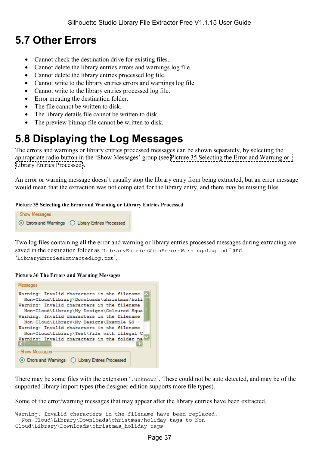## <span id="page-36-0"></span>**5.7 Other Errors**

- Cannot check the destination drive for existing files.
- Cannot delete the library entries errors and warnings log file.
- Cannot delete the library entries processed log file.
- Cannot write to the library entries errors and warnings log file.
- Cannot write to the library entries processed log file.
- Error creating the destination folder.
- The file cannot be written to disk.
- The library details file cannot be written to disk.
- The preview bitmap file cannot be written to disk.

# **5.8 Displaying the Log Messages**

The errors and warnings or library entries processed messages can be shown separately, by selecting the appropriate radio button in the 'Show Messages' group (see Picture 35 Selecting the Error and Warning or Library Entries Processed).

An error or warning message doesn't usually stop the library entry from being extracted, but an error message would mean that the extraction was not completed for the library entry, and there may be missing files.

#### **Picture 35 Selecting the Error and Warning or Library Entries Processed**



Two log files containing all the error and warning or library entries processed messages during extracting are saved in the destination folder as 'LibraryEntriesWithErrorsWarningsLog.txt' and 'LibraryEntriesExtractedLog.txt'.

#### **Picture 36 The Errors and Warning Messages**



There may be some files with the extension '.unknown'. These could not be auto detected, and may be of the supported library import types (the designer edition supports more file types).

Some of the error/warning messages that may appear after the library entries have been extracted.

```
Warning: Invalid characters in the filename have been replaced. 
  Non-Cloud\Library\Downloads\christmas/holiday tags to Non-
Cloud\Library\Downloads\christmas_holiday tags
```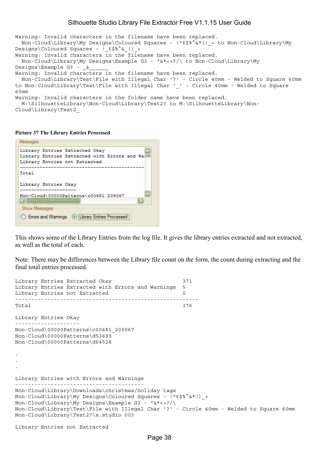```
Warning: Invalid characters in the filename have been replaced. 
  Non-Cloud\Library\My Designs\Coloured Squares - !"£$%^&*()_+ to Non-Cloud\Library\My 
Designs\Coloured Squares - !_£$%^&_()_+ 
Warning: Invalid characters in the filename have been replaced. 
  Non-Cloud\Library\My Designs\Example G3 - "&*<>?/\ to Non-Cloud\Library\My 
Designs\Example G3 - _&______ 
Warning: Invalid characters in the filename have been replaced. 
  Non-Cloud\Library\Test\File with Illegal Char '?' - Circle 40mm - Welded to Square 60mm 
to Non-Cloud\Library\Test\File with Illegal Char '_' - Circle 40mm - Welded to Square 
60mmWarning: Invalid characters in the folder name have been replaced. 
  M:\SilhouetteLibrary\Non-Cloud\Library\Test2? to M:\SilhouetteLibrary\Non-
Cloud\Library\Test2_
```
**Picture 37 The Library Entries Processed** 



This shows some of the Library Entries from the log file. It gives the library entries extracted and not extracted, as well as the total of each.

Note: There may be differences between the Library file count on the form, the count during extracting and the final total entries processed.

```
Library Entries Extracted Okay 371
Library Entries Extracted with Errors and Warnings 5 
Library Entries not Extracted 0
--------------------------------------------------------- 
Total 376 
Library Entries Okay 
-------------------- 
Non-Cloud\00000Patterns\c00481_209067 
Non-Cloud\00000Patterns\d53699 
Non-Cloud\00000Patterns\d64528 
. 
. 
. 
Library Entries with Errors and Warnings 
---------------------------------------- 
Non-Cloud\Library\Downloads\christmas/holiday tags 
Non-Cloud\Library\My Designs\Coloured Squares - !"£$' ^k () +
Non-Cloud\Library\My Designs\Example G3 - "&*<>?/\ 
Non-Cloud\Library\Test\File with Illegal Char '?' - Circle 40mm - Welded to Square 60mm 
Non-Cloud\Library\Test2?\s.studio 003
```
Library Entries not Extracted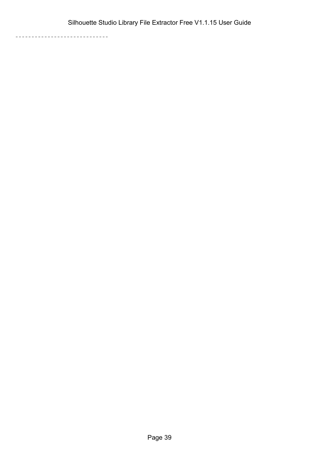-----------------------------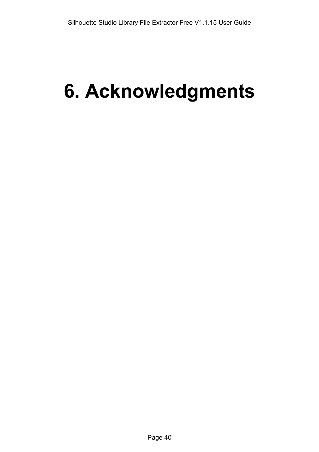# <span id="page-39-0"></span>**6. Acknowledgments**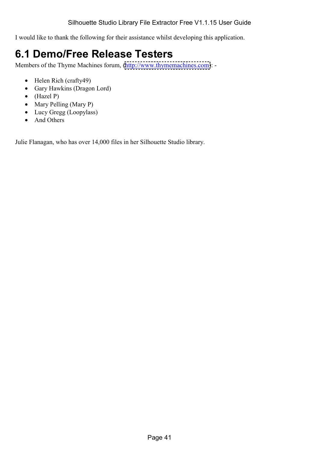<span id="page-40-0"></span>I would like to thank the following for their assistance whilst developing this application.

# **6.1 Demo/Free Release Testers**

Members of the Thyme Machines forum, [\(http://www.thymemachines.com\)](http://www.thymemachines.com/): -

- Helen Rich (crafty49)
- Gary Hawkins (Dragon Lord)
- $\bullet$  (Hazel P)
- Mary Pelling (Mary P)
- Lucy Gregg (Loopylass)
- And Others

Julie Flanagan, who has over 14,000 files in her Silhouette Studio library.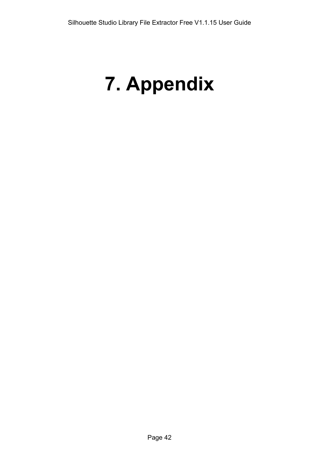# <span id="page-41-0"></span>**7. Appendix**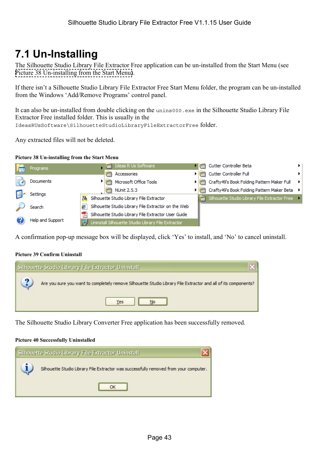# <span id="page-42-0"></span>**7.1 Un-Installing**

The Silhouette Studio Library File Extractor Free application can be un-installed from the Start Menu (see Picture 38 Un-installing from the Start Menu).

If there isn't a Silhouette Studio Library File Extractor Free Start Menu folder, the program can be un-installed from the Windows 'Add/Remove Programs' control panel.

It can also be un-installed from double clicking on the unins000.exe in the Silhouette Studio Library File Extractor Free installed folder. This is usually in the IdeasRUsSoftware\SilhouetteStudioLibraryFileExtractorFree folder.

Any extracted files will not be deleted.

#### **Picture 38 Un-installing from the Start Menu**



A confirmation pop-up message box will be displayed, click 'Yes' to install, and 'No' to cancel uninstall.

#### **Picture 39 Confirm Uninstall**



The Silhouette Studio Library Converter Free application has been successfully removed.

#### **Picture 40 Successfully Uninstalled**

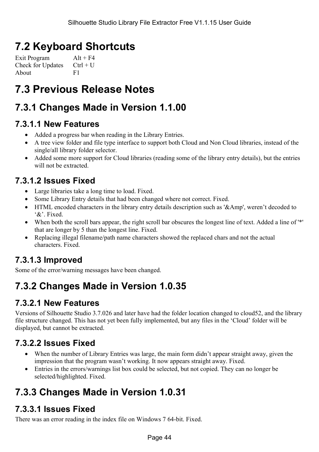# <span id="page-43-0"></span>**7.2 Keyboard Shortcuts**

Exit Program Alt + F4 Check for Updates  $Ctrl + U$ About F1

# **7.3 Previous Release Notes**

### **7.3.1 Changes Made in Version 1.1.00**

#### **7.3.1.1 New Features**

- Added a progress bar when reading in the Library Entries.
- A tree view folder and file type interface to support both Cloud and Non Cloud libraries, instead of the single/all library folder selector.
- Added some more support for Cloud libraries (reading some of the library entry details), but the entries will not be extracted.

### **7.3.1.2 Issues Fixed**

- Large libraries take a long time to load. Fixed.
- Some Library Entry details that had been changed where not correct. Fixed.
- HTML encoded characters in the library entry details description such as '&Amp', weren't decoded to '&'. Fixed.
- When both the scroll bars appear, the right scroll bar obscures the longest line of text. Added a line of '\*' that are longer by 5 than the longest line. Fixed.
- Replacing illegal filename/path name characters showed the replaced chars and not the actual characters. Fixed.

### **7.3.1.3 Improved**

Some of the error/warning messages have been changed.

# **7.3.2 Changes Made in Version 1.0.35**

### **7.3.2.1 New Features**

Versions of Silhouette Studio 3.7.026 and later have had the folder location changed to cloud52, and the library file structure changed. This has not yet been fully implemented, but any files in the 'Cloud' folder will be displayed, but cannot be extracted.

### **7.3.2.2 Issues Fixed**

- When the number of Library Entries was large, the main form didn't appear straight away, given the impression that the program wasn't working. It now appears straight away. Fixed.
- Entries in the errors/warnings list box could be selected, but not copied. They can no longer be selected/highlighted. Fixed.

# **7.3.3 Changes Made in Version 1.0.31**

### **7.3.3.1 Issues Fixed**

There was an error reading in the index file on Windows 7 64-bit. Fixed.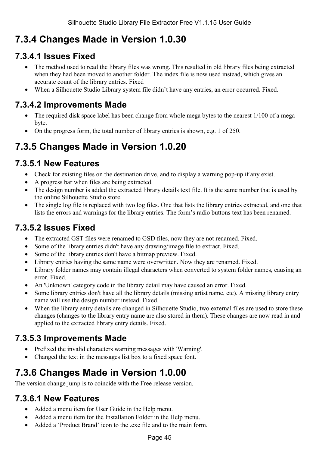## <span id="page-44-0"></span>**7.3.4 Changes Made in Version 1.0.30**

### **7.3.4.1 Issues Fixed**

- The method used to read the library files was wrong. This resulted in old library files being extracted when they had been moved to another folder. The index file is now used instead, which gives an accurate count of the library entries. Fixed
- When a Silhouette Studio Library system file didn't have any entries, an error occurred. Fixed.

#### **7.3.4.2 Improvements Made**

- The required disk space label has been change from whole mega bytes to the nearest 1/100 of a mega byte.
- On the progress form, the total number of library entries is shown, e.g. 1 of 250.

### **7.3.5 Changes Made in Version 1.0.20**

#### **7.3.5.1 New Features**

- Check for existing files on the destination drive, and to display a warning pop-up if any exist.
- A progress bar when files are being extracted.
- The design number is added the extracted library details text file. It is the same number that is used by the online Silhouette Studio store.
- The single log file is replaced with two log files. One that lists the library entries extracted, and one that lists the errors and warnings for the library entries. The form's radio buttons text has been renamed.

### **7.3.5.2 Issues Fixed**

- The extracted GST files were renamed to GSD files, now they are not renamed. Fixed.
- Some of the library entries didn't have any drawing/image file to extract. Fixed.
- Some of the library entries don't have a bitmap preview. Fixed.
- Library entries having the same name were overwritten. Now they are renamed. Fixed.
- Library folder names may contain illegal characters when converted to system folder names, causing an error. Fixed.
- An 'Unknown' category code in the library detail may have caused an error. Fixed.
- Some library entries don't have all the library details (missing artist name, etc). A missing library entry name will use the design number instead. Fixed.
- When the library entry details are changed in Silhouette Studio, two external files are used to store these changes (changes to the library entry name are also stored in them). These changes are now read in and applied to the extracted library entry details. Fixed.

### **7.3.5.3 Improvements Made**

- Prefixed the invalid characters warning messages with 'Warning'.
- Changed the text in the messages list box to a fixed space font.

# **7.3.6 Changes Made in Version 1.0.00**

The version change jump is to coincide with the Free release version.

### **7.3.6.1 New Features**

- Added a menu item for User Guide in the Help menu.
- Added a menu item for the Installation Folder in the Help menu.
- Added a 'Product Brand' icon to the .exe file and to the main form.